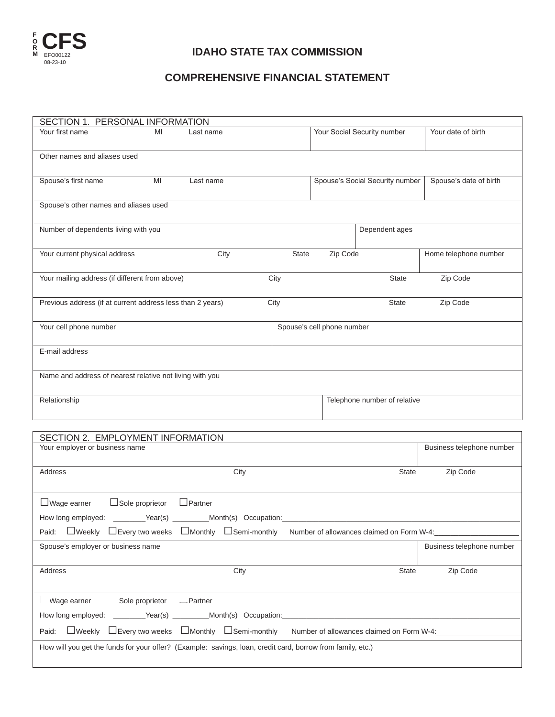

## **Idaho State Tax Commission**

## **COMPREHENSIVE FINANCIAL STATEMENT**

| SECTION 1. PERSONAL INFORMATION                            |                                                                         |                                                    |      |              |                            |                                           |                           |
|------------------------------------------------------------|-------------------------------------------------------------------------|----------------------------------------------------|------|--------------|----------------------------|-------------------------------------------|---------------------------|
| Your first name                                            | MI                                                                      | Last name                                          |      |              |                            | Your Social Security number               | Your date of birth        |
| Other names and aliases used                               |                                                                         |                                                    |      |              |                            |                                           |                           |
| Spouse's first name                                        | MI                                                                      | Last name                                          |      |              |                            | Spouse's Social Security number           | Spouse's date of birth    |
| Spouse's other names and aliases used                      |                                                                         |                                                    |      |              |                            |                                           |                           |
| Number of dependents living with you                       |                                                                         |                                                    |      |              |                            | Dependent ages                            |                           |
| Your current physical address                              |                                                                         | City                                               |      | <b>State</b> | Zip Code                   |                                           | Home telephone number     |
| Your mailing address (if different from above)             |                                                                         |                                                    | City |              |                            | <b>State</b>                              | Zip Code                  |
| Previous address (if at current address less than 2 years) |                                                                         |                                                    | City |              |                            | <b>State</b>                              | Zip Code                  |
| Your cell phone number                                     |                                                                         |                                                    |      |              | Spouse's cell phone number |                                           |                           |
| E-mail address                                             |                                                                         |                                                    |      |              |                            |                                           |                           |
| Name and address of nearest relative not living with you   |                                                                         |                                                    |      |              |                            |                                           |                           |
| Relationship                                               |                                                                         |                                                    |      |              |                            | Telephone number of relative              |                           |
|                                                            |                                                                         |                                                    |      |              |                            |                                           |                           |
| SECTION 2. EMPLOYMENT INFORMATION                          |                                                                         |                                                    |      |              |                            |                                           |                           |
| Your employer or business name                             |                                                                         |                                                    |      |              |                            |                                           | Business telephone number |
| Address                                                    |                                                                         |                                                    | City |              |                            | State                                     | Zip Code                  |
| $\Box$ Wage earner                                         | $\Box$ Sole proprietor                                                  | $\Box$ Partner                                     |      |              |                            |                                           |                           |
| How long employed:                                         |                                                                         | _________Year(s) ___________Month(s) Occupation:__ |      |              |                            |                                           |                           |
| Paid:                                                      | □Weekly □Every two weeks □Monthly □Semi-monthly                         |                                                    |      |              |                            | Number of allowances claimed on Form W-4: |                           |
| Spouse's employer or business name                         |                                                                         |                                                    |      |              |                            |                                           | Business telephone number |
| Address                                                    |                                                                         |                                                    | City |              |                            | State                                     | Zip Code                  |
| Wage earner                                                | Sole proprietor                                                         | -Partner                                           |      |              |                            |                                           |                           |
| How long employed:                                         |                                                                         | __________Year(s) ___________Month(s) Occupation:  |      |              |                            |                                           |                           |
| Paid:                                                      | $\Box$ Weekly $\Box$ Every two weeks $\Box$ Monthly $\Box$ Semi-monthly |                                                    |      |              |                            | Number of allowances claimed on Form W-4: |                           |

How will you get the funds for your offer? (Example: savings, loan, credit card, borrow from family, etc.)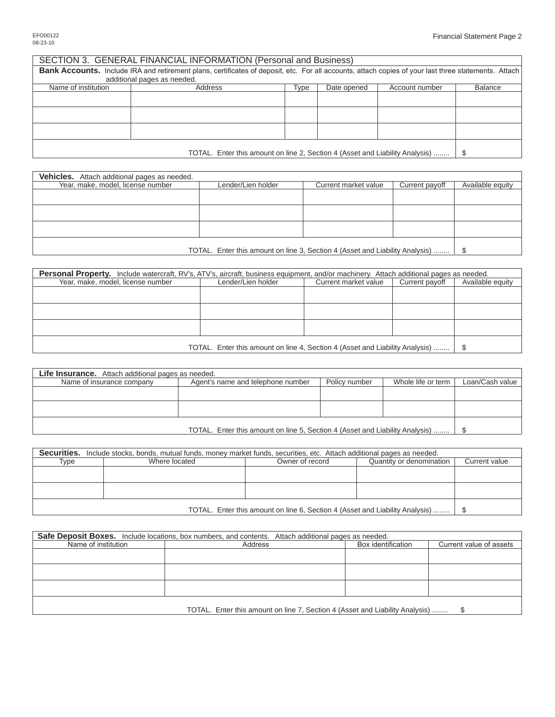| SECTION 3. GENERAL FINANCIAL INFORMATION (Personal and Business)                                                                                     |                             |      |             |                |         |
|------------------------------------------------------------------------------------------------------------------------------------------------------|-----------------------------|------|-------------|----------------|---------|
| Bank Accounts. Include IRA and retirement plans, certificates of deposit, etc. For all accounts, attach copies of your last three statements. Attach |                             |      |             |                |         |
|                                                                                                                                                      | additional pages as needed. |      |             |                |         |
| Name of institution                                                                                                                                  | Address                     | Type | Date opened | Account number | Balance |
|                                                                                                                                                      |                             |      |             |                |         |
|                                                                                                                                                      |                             |      |             |                |         |
|                                                                                                                                                      |                             |      |             |                |         |
|                                                                                                                                                      |                             |      |             |                |         |
|                                                                                                                                                      |                             |      |             |                |         |
|                                                                                                                                                      |                             |      |             |                |         |
|                                                                                                                                                      |                             |      |             |                |         |
| TOTAL. Enter this amount on line 2, Section 4 (Asset and Liability Analysis)                                                                         |                             |      |             |                | -S      |

| <b>Vehicles.</b> Attach additional pages as needed.                          |                    |                      |                |                  |
|------------------------------------------------------------------------------|--------------------|----------------------|----------------|------------------|
| Year, make, model, license number                                            | Lender/Lien holder | Current market value | Current payoff | Available equity |
|                                                                              |                    |                      |                |                  |
|                                                                              |                    |                      |                |                  |
|                                                                              |                    |                      |                |                  |
|                                                                              |                    |                      |                |                  |
|                                                                              |                    |                      |                |                  |
|                                                                              |                    |                      |                |                  |
|                                                                              |                    |                      |                |                  |
| TOTAL. Enter this amount on line 3, Section 4 (Asset and Liability Analysis) |                    |                      |                |                  |

| <b>Personal Property.</b> Include watercraft, RV's, ATV's, aircraft, business equipment, and/or machinery. Attach additional pages as needed. |                    |                      |                |                  |
|-----------------------------------------------------------------------------------------------------------------------------------------------|--------------------|----------------------|----------------|------------------|
| Year, make, model, license number                                                                                                             | Lender/Lien holder | Current market value | Current payoff | Available equity |
|                                                                                                                                               |                    |                      |                |                  |
|                                                                                                                                               |                    |                      |                |                  |
|                                                                                                                                               |                    |                      |                |                  |
|                                                                                                                                               |                    |                      |                |                  |
|                                                                                                                                               |                    |                      |                |                  |
|                                                                                                                                               |                    |                      |                |                  |
|                                                                                                                                               |                    |                      |                |                  |
| TOTAL. Enter this amount on line 4, Section 4 (Asset and Liability Analysis)                                                                  |                    |                      |                |                  |

| <b>Life Insurance.</b> Attach additional pages as needed.                    |                                   |               |                    |                 |
|------------------------------------------------------------------------------|-----------------------------------|---------------|--------------------|-----------------|
| Name of insurance company                                                    | Agent's name and telephone number | Policy number | Whole life or term | Loan/Cash value |
|                                                                              |                                   |               |                    |                 |
|                                                                              |                                   |               |                    |                 |
|                                                                              |                                   |               |                    |                 |
|                                                                              |                                   |               |                    |                 |
|                                                                              |                                   |               |                    |                 |
| TOTAL. Enter this amount on line 5, Section 4 (Asset and Liability Analysis) |                                   |               |                    |                 |

|                                                                              | Securities. Include stocks, bonds, mutual funds, money market funds, securities, etc. Attach additional pages as needed. |                 |                          |               |
|------------------------------------------------------------------------------|--------------------------------------------------------------------------------------------------------------------------|-----------------|--------------------------|---------------|
| Type                                                                         | Where located                                                                                                            | Owner of record | Quantity or denomination | Current value |
|                                                                              |                                                                                                                          |                 |                          |               |
|                                                                              |                                                                                                                          |                 |                          |               |
|                                                                              |                                                                                                                          |                 |                          |               |
|                                                                              |                                                                                                                          |                 |                          |               |
| TOTAL. Enter this amount on line 6, Section 4 (Asset and Liability Analysis) |                                                                                                                          |                 |                          |               |

| <b>Safe Deposit Boxes.</b> Include locations, box numbers, and contents. Attach additional pages as needed. |         |                    |                         |  |
|-------------------------------------------------------------------------------------------------------------|---------|--------------------|-------------------------|--|
| Name of institution                                                                                         | Address | Box identification | Current value of assets |  |
|                                                                                                             |         |                    |                         |  |
|                                                                                                             |         |                    |                         |  |
|                                                                                                             |         |                    |                         |  |
|                                                                                                             |         |                    |                         |  |
|                                                                                                             |         |                    |                         |  |
|                                                                                                             |         |                    |                         |  |
|                                                                                                             |         |                    |                         |  |
| TOTAL. Enter this amount on line 7, Section 4 (Asset and Liability Analysis)                                |         |                    |                         |  |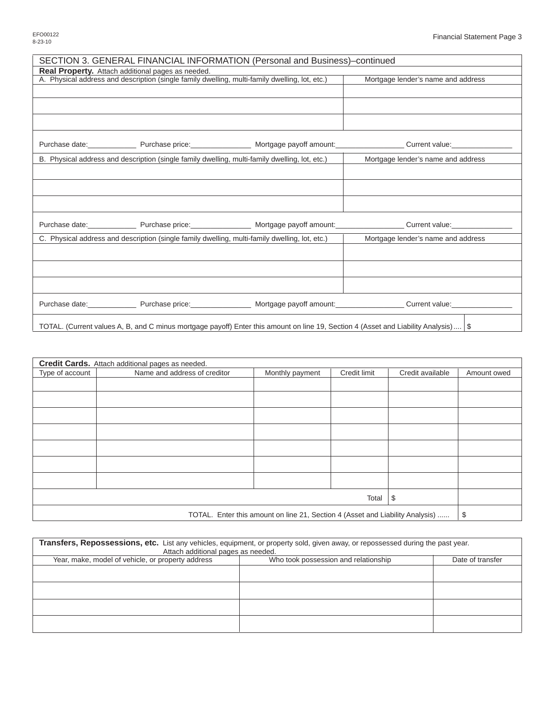|                                                          | SECTION 3. GENERAL FINANCIAL INFORMATION (Personal and Business)-continued                                                            |                                                                                                                                             |
|----------------------------------------------------------|---------------------------------------------------------------------------------------------------------------------------------------|---------------------------------------------------------------------------------------------------------------------------------------------|
| <b>Real Property.</b> Attach additional pages as needed. |                                                                                                                                       |                                                                                                                                             |
|                                                          | A. Physical address and description (single family dwelling, multi-family dwelling, lot, etc.)                                        | Mortgage lender's name and address                                                                                                          |
|                                                          |                                                                                                                                       |                                                                                                                                             |
|                                                          |                                                                                                                                       |                                                                                                                                             |
|                                                          |                                                                                                                                       |                                                                                                                                             |
|                                                          |                                                                                                                                       | Purchase date: Purchase price: Nortgage payoff amount: Current value: Current value: Purchase date: Purchase price: Nortgage payoff amount: |
|                                                          | B. Physical address and description (single family dwelling, multi-family dwelling, lot, etc.)                                        | Mortgage lender's name and address                                                                                                          |
|                                                          |                                                                                                                                       |                                                                                                                                             |
|                                                          |                                                                                                                                       |                                                                                                                                             |
|                                                          |                                                                                                                                       |                                                                                                                                             |
|                                                          |                                                                                                                                       | Purchase date: Purchase price: Purchase price: Nortgage payoff amount: Purchase date: Purchase date: Purchase Discover Purchase price:      |
|                                                          | C. Physical address and description (single family dwelling, multi-family dwelling, lot, etc.)                                        | Mortgage lender's name and address                                                                                                          |
|                                                          |                                                                                                                                       |                                                                                                                                             |
|                                                          |                                                                                                                                       |                                                                                                                                             |
|                                                          |                                                                                                                                       |                                                                                                                                             |
|                                                          |                                                                                                                                       | Purchase date: Purchase price: Nortgage payoff amount: Current value: Current value: Purchase date: Purchase price:                         |
|                                                          | TOTAL. (Current values A, B, and C minus mortgage payoff) Enter this amount on line 19, Section 4 (Asset and Liability Analysis)   \$ |                                                                                                                                             |

|                                                                               | Credit Cards. Attach additional pages as needed. |                 |              |                  |             |
|-------------------------------------------------------------------------------|--------------------------------------------------|-----------------|--------------|------------------|-------------|
| Type of account                                                               | Name and address of creditor                     | Monthly payment | Credit limit | Credit available | Amount owed |
|                                                                               |                                                  |                 |              |                  |             |
|                                                                               |                                                  |                 |              |                  |             |
|                                                                               |                                                  |                 |              |                  |             |
|                                                                               |                                                  |                 |              |                  |             |
|                                                                               |                                                  |                 |              |                  |             |
|                                                                               |                                                  |                 |              |                  |             |
|                                                                               |                                                  |                 |              |                  |             |
|                                                                               |                                                  |                 | Total        | \$               |             |
| TOTAL. Enter this amount on line 21, Section 4 (Asset and Liability Analysis) |                                                  |                 |              | \$               |             |

| Transfers, Repossessions, etc. List any vehicles, equipment, or property sold, given away, or repossessed during the past year.<br>Attach additional pages as needed. |                                      |                  |  |  |
|-----------------------------------------------------------------------------------------------------------------------------------------------------------------------|--------------------------------------|------------------|--|--|
| Year, make, model of vehicle, or property address                                                                                                                     | Who took possession and relationship | Date of transfer |  |  |
|                                                                                                                                                                       |                                      |                  |  |  |
|                                                                                                                                                                       |                                      |                  |  |  |
|                                                                                                                                                                       |                                      |                  |  |  |
|                                                                                                                                                                       |                                      |                  |  |  |
|                                                                                                                                                                       |                                      |                  |  |  |
|                                                                                                                                                                       |                                      |                  |  |  |
|                                                                                                                                                                       |                                      |                  |  |  |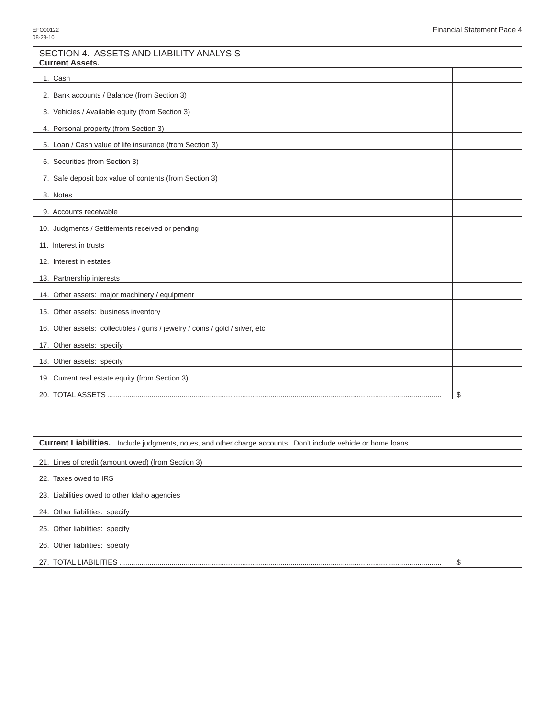| SECTION 4. ASSETS AND LIABILITY ANALYSIS                                      |    |
|-------------------------------------------------------------------------------|----|
| <b>Current Assets.</b>                                                        |    |
| 1. Cash                                                                       |    |
| 2. Bank accounts / Balance (from Section 3)                                   |    |
| 3. Vehicles / Available equity (from Section 3)                               |    |
| 4. Personal property (from Section 3)                                         |    |
| 5. Loan / Cash value of life insurance (from Section 3)                       |    |
| 6. Securities (from Section 3)                                                |    |
| 7. Safe deposit box value of contents (from Section 3)                        |    |
| 8. Notes                                                                      |    |
| 9. Accounts receivable                                                        |    |
| 10. Judgments / Settlements received or pending                               |    |
| 11. Interest in trusts                                                        |    |
| 12. Interest in estates                                                       |    |
| 13. Partnership interests                                                     |    |
| 14. Other assets: major machinery / equipment                                 |    |
| 15. Other assets: business inventory                                          |    |
| 16. Other assets: collectibles / guns / jewelry / coins / gold / silver, etc. |    |
| 17. Other assets: specify                                                     |    |
| 18. Other assets: specify                                                     |    |
| 19. Current real estate equity (from Section 3)                               |    |
|                                                                               | \$ |

| <b>Current Liabilities.</b> Include judgments, notes, and other charge accounts. Don't include vehicle or home loans. |        |
|-----------------------------------------------------------------------------------------------------------------------|--------|
| 21. Lines of credit (amount owed) (from Section 3)                                                                    |        |
| 22. Taxes owed to IRS                                                                                                 |        |
| 23. Liabilities owed to other Idaho agencies                                                                          |        |
| 24. Other liabilities: specify                                                                                        |        |
| 25. Other liabilities: specify                                                                                        |        |
| 26. Other liabilities: specify                                                                                        |        |
| 27. TOTAL LIABILITIES                                                                                                 | e<br>D |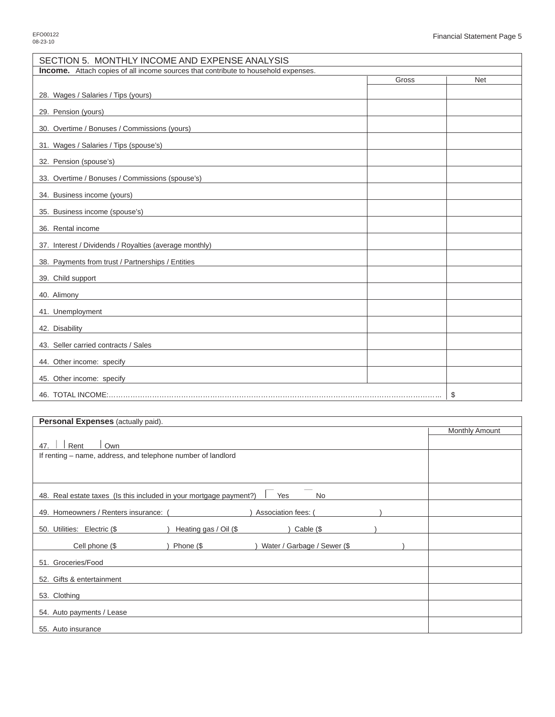| SECTION 5. MONTHLY INCOME AND EXPENSE ANALYSIS                                            |       |            |  |  |  |  |
|-------------------------------------------------------------------------------------------|-------|------------|--|--|--|--|
| <b>Income.</b> Attach copies of all income sources that contribute to household expenses. |       |            |  |  |  |  |
|                                                                                           | Gross | <b>Net</b> |  |  |  |  |
| 28. Wages / Salaries / Tips (yours)                                                       |       |            |  |  |  |  |
| 29. Pension (yours)                                                                       |       |            |  |  |  |  |
| 30. Overtime / Bonuses / Commissions (yours)                                              |       |            |  |  |  |  |
| 31. Wages / Salaries / Tips (spouse's)                                                    |       |            |  |  |  |  |
| 32. Pension (spouse's)                                                                    |       |            |  |  |  |  |
| 33. Overtime / Bonuses / Commissions (spouse's)                                           |       |            |  |  |  |  |
| 34. Business income (yours)                                                               |       |            |  |  |  |  |
| 35. Business income (spouse's)                                                            |       |            |  |  |  |  |
| 36. Rental income                                                                         |       |            |  |  |  |  |
| 37. Interest / Dividends / Royalties (average monthly)                                    |       |            |  |  |  |  |
| 38. Payments from trust / Partnerships / Entities                                         |       |            |  |  |  |  |
| 39. Child support                                                                         |       |            |  |  |  |  |
| 40. Alimony<br><u> 1980 - Jan Barbara (j. 1980)</u>                                       |       |            |  |  |  |  |
| 41. Unemployment                                                                          |       |            |  |  |  |  |
| 42. Disability                                                                            |       |            |  |  |  |  |
| 43. Seller carried contracts / Sales                                                      |       |            |  |  |  |  |
| 44. Other income: specify                                                                 |       |            |  |  |  |  |
| 45. Other income: specify                                                                 |       |            |  |  |  |  |
|                                                                                           | \$    |            |  |  |  |  |

| Personal Expenses (actually paid).                                              |                       |  |  |  |  |
|---------------------------------------------------------------------------------|-----------------------|--|--|--|--|
|                                                                                 | <b>Monthly Amount</b> |  |  |  |  |
| Rent<br>Own<br>47.                                                              |                       |  |  |  |  |
| If renting – name, address, and telephone number of landlord                    |                       |  |  |  |  |
|                                                                                 |                       |  |  |  |  |
|                                                                                 |                       |  |  |  |  |
|                                                                                 |                       |  |  |  |  |
| 48. Real estate taxes (Is this included in your mortgage payment?)<br>Yes<br>No |                       |  |  |  |  |
|                                                                                 |                       |  |  |  |  |
| 49. Homeowners / Renters insurance: (<br>Association fees: (                    |                       |  |  |  |  |
| Heating gas / Oil (\$<br>50. Utilities: Electric (\$<br>Cable (\$               |                       |  |  |  |  |
|                                                                                 |                       |  |  |  |  |
| Cell phone (\$<br>) Phone $(\$$<br>Water / Garbage / Sewer (\$                  |                       |  |  |  |  |
| 51. Groceries/Food                                                              |                       |  |  |  |  |
| 52. Gifts & entertainment                                                       |                       |  |  |  |  |
|                                                                                 |                       |  |  |  |  |
| 53. Clothing                                                                    |                       |  |  |  |  |
| 54. Auto payments / Lease                                                       |                       |  |  |  |  |
|                                                                                 |                       |  |  |  |  |
| 55. Auto insurance                                                              |                       |  |  |  |  |